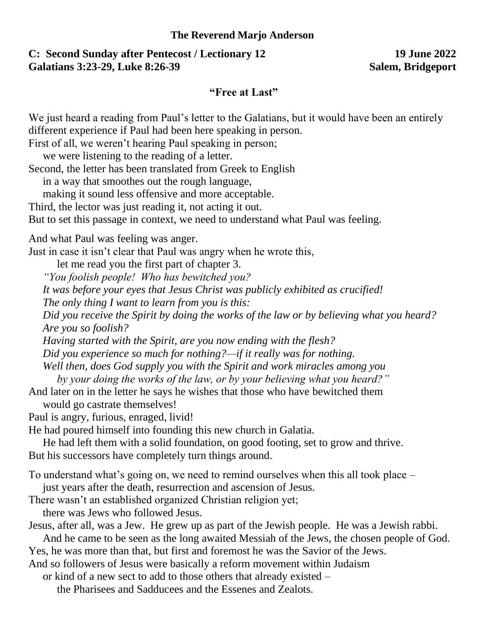## **The Reverend Marjo Anderson**

## **C: Second Sunday after Pentecost / Lectionary 12 19 June 2022 Galatians 3:23-29, Luke 8:26-39 Salem, Bridgeport**

## **"Free at Last"**

We just heard a reading from Paul's letter to the Galatians, but it would have been an entirely different experience if Paul had been here speaking in person.

First of all, we weren't hearing Paul speaking in person;

we were listening to the reading of a letter.

Second, the letter has been translated from Greek to English

in a way that smoothes out the rough language,

making it sound less offensive and more acceptable.

Third, the lector was just reading it, not acting it out.

But to set this passage in context, we need to understand what Paul was feeling.

And what Paul was feeling was anger.

Just in case it isn't clear that Paul was angry when he wrote this,

let me read you the first part of chapter 3.

*"You foolish people! Who has bewitched you?* 

*It was before your eyes that Jesus Christ was publicly exhibited as crucified!* 

*The only thing I want to learn from you is this:* 

*Did you receive the Spirit by doing the works of the law or by believing what you heard? Are you so foolish?* 

*Having started with the Spirit, are you now ending with the flesh?* 

*Did you experience so much for nothing?—if it really was for nothing.* 

*Well then, does God supply you with the Spirit and work miracles among you* 

*by your doing the works of the law, or by your believing what you heard?"*

And later on in the letter he says he wishes that those who have bewitched them would go castrate themselves!

Paul is angry, furious, enraged, livid!

He had poured himself into founding this new church in Galatia.

He had left them with a solid foundation, on good footing, set to grow and thrive. But his successors have completely turn things around.

To understand what's going on, we need to remind ourselves when this all took place –

just years after the death, resurrection and ascension of Jesus.

There wasn't an established organized Christian religion yet;

there was Jews who followed Jesus.

Jesus, after all, was a Jew. He grew up as part of the Jewish people. He was a Jewish rabbi.

And he came to be seen as the long awaited Messiah of the Jews, the chosen people of God. Yes, he was more than that, but first and foremost he was the Savior of the Jews.

And so followers of Jesus were basically a reform movement within Judaism

or kind of a new sect to add to those others that already existed –

the Pharisees and Sadducees and the Essenes and Zealots.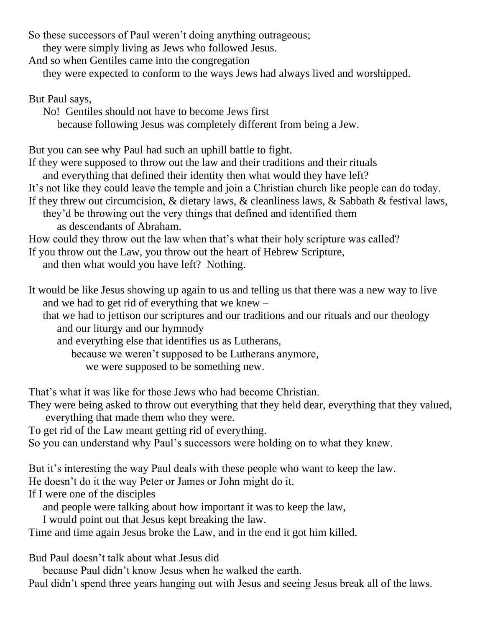So these successors of Paul weren't doing anything outrageous;

they were simply living as Jews who followed Jesus.

And so when Gentiles came into the congregation

they were expected to conform to the ways Jews had always lived and worshipped.

But Paul says,

No! Gentiles should not have to become Jews first

because following Jesus was completely different from being a Jew.

But you can see why Paul had such an uphill battle to fight.

If they were supposed to throw out the law and their traditions and their rituals

and everything that defined their identity then what would they have left?

It's not like they could leave the temple and join a Christian church like people can do today.

If they threw out circumcision, & dietary laws, & cleanliness laws, & Sabbath & festival laws,

they'd be throwing out the very things that defined and identified them as descendants of Abraham.

How could they throw out the law when that's what their holy scripture was called?

If you throw out the Law, you throw out the heart of Hebrew Scripture,

and then what would you have left? Nothing.

It would be like Jesus showing up again to us and telling us that there was a new way to live and we had to get rid of everything that we knew –

that we had to jettison our scriptures and our traditions and our rituals and our theology and our liturgy and our hymnody

and everything else that identifies us as Lutherans,

because we weren't supposed to be Lutherans anymore,

we were supposed to be something new.

That's what it was like for those Jews who had become Christian.

They were being asked to throw out everything that they held dear, everything that they valued, everything that made them who they were.

To get rid of the Law meant getting rid of everything.

So you can understand why Paul's successors were holding on to what they knew.

But it's interesting the way Paul deals with these people who want to keep the law.

He doesn't do it the way Peter or James or John might do it.

If I were one of the disciples

and people were talking about how important it was to keep the law,

I would point out that Jesus kept breaking the law.

Time and time again Jesus broke the Law, and in the end it got him killed.

Bud Paul doesn't talk about what Jesus did

because Paul didn't know Jesus when he walked the earth.

Paul didn't spend three years hanging out with Jesus and seeing Jesus break all of the laws.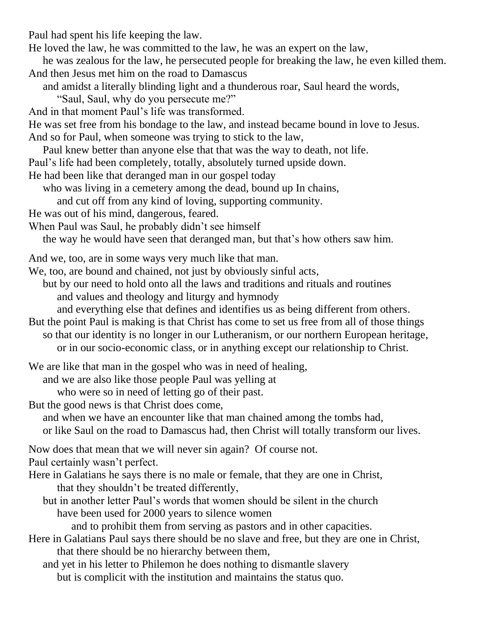Paul had spent his life keeping the law.

He loved the law, he was committed to the law, he was an expert on the law,

- he was zealous for the law, he persecuted people for breaking the law, he even killed them. And then Jesus met him on the road to Damascus
	- and amidst a literally blinding light and a thunderous roar, Saul heard the words,
		- "Saul, Saul, why do you persecute me?"
- And in that moment Paul's life was transformed.
- He was set free from his bondage to the law, and instead became bound in love to Jesus. And so for Paul, when someone was trying to stick to the law,
- Paul knew better than anyone else that that was the way to death, not life.
- Paul's life had been completely, totally, absolutely turned upside down.
- He had been like that deranged man in our gospel today
	- who was living in a cemetery among the dead, bound up In chains,
	- and cut off from any kind of loving, supporting community.
- He was out of his mind, dangerous, feared.
- When Paul was Saul, he probably didn't see himself
	- the way he would have seen that deranged man, but that's how others saw him.
- And we, too, are in some ways very much like that man.
- We, too, are bound and chained, not just by obviously sinful acts,
	- but by our need to hold onto all the laws and traditions and rituals and routines and values and theology and liturgy and hymnody
		- and everything else that defines and identifies us as being different from others.
- But the point Paul is making is that Christ has come to set us free from all of those things so that our identity is no longer in our Lutheranism, or our northern European heritage, or in our socio-economic class, or in anything except our relationship to Christ.
- We are like that man in the gospel who was in need of healing,
	- and we are also like those people Paul was yelling at
	- who were so in need of letting go of their past.
- But the good news is that Christ does come,
- and when we have an encounter like that man chained among the tombs had, or like Saul on the road to Damascus had, then Christ will totally transform our lives.
- Now does that mean that we will never sin again? Of course not.
- Paul certainly wasn't perfect.
- Here in Galatians he says there is no male or female, that they are one in Christ, that they shouldn't be treated differently,
	- but in another letter Paul's words that women should be silent in the church have been used for 2000 years to silence women

and to prohibit them from serving as pastors and in other capacities.

- Here in Galatians Paul says there should be no slave and free, but they are one in Christ, that there should be no hierarchy between them,
	- and yet in his letter to Philemon he does nothing to dismantle slavery but is complicit with the institution and maintains the status quo.